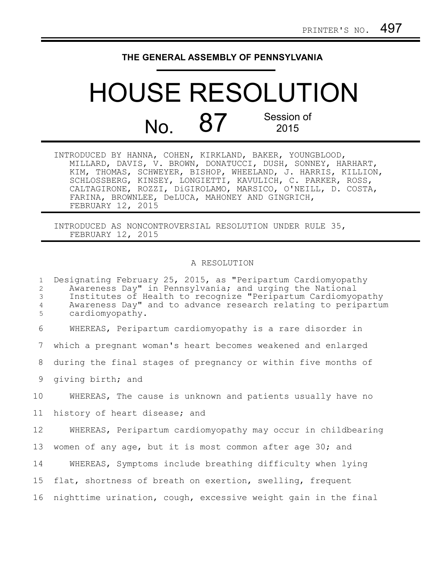## **THE GENERAL ASSEMBLY OF PENNSYLVANIA**

## HOUSE RESOLUTION  $N<sub>0</sub>$  87 Session of 2015

INTRODUCED BY HANNA, COHEN, KIRKLAND, BAKER, YOUNGBLOOD, MILLARD, DAVIS, V. BROWN, DONATUCCI, DUSH, SONNEY, HARHART, KIM, THOMAS, SCHWEYER, BISHOP, WHEELAND, J. HARRIS, KILLION, SCHLOSSBERG, KINSEY, LONGIETTI, KAVULICH, C. PARKER, ROSS, CALTAGIRONE, ROZZI, DiGIROLAMO, MARSICO, O'NEILL, D. COSTA, FARINA, BROWNLEE, DeLUCA, MAHONEY AND GINGRICH, FEBRUARY 12, 2015

INTRODUCED AS NONCONTROVERSIAL RESOLUTION UNDER RULE 35, FEBRUARY 12, 2015

## A RESOLUTION

Designating February 25, 2015, as "Peripartum Cardiomyopathy Awareness Day" in Pennsylvania; and urging the National Institutes of Health to recognize "Peripartum Cardiomyopathy Awareness Day" and to advance research relating to peripartum cardiomyopathy. WHEREAS, Peripartum cardiomyopathy is a rare disorder in which a pregnant woman's heart becomes weakened and enlarged during the final stages of pregnancy or within five months of giving birth; and WHEREAS, The cause is unknown and patients usually have no history of heart disease; and WHEREAS, Peripartum cardiomyopathy may occur in childbearing women of any age, but it is most common after age 30; and WHEREAS, Symptoms include breathing difficulty when lying flat, shortness of breath on exertion, swelling, frequent nighttime urination, cough, excessive weight gain in the final 1 2 3 4 5 6 7 8 9 10 11 12 13 14 15 16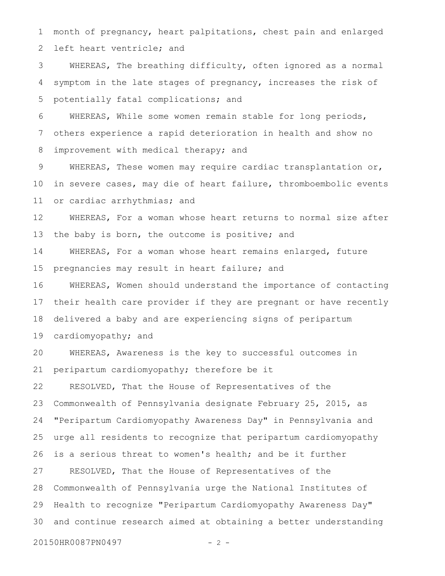month of pregnancy, heart palpitations, chest pain and enlarged left heart ventricle; and 1 2

WHEREAS, The breathing difficulty, often ignored as a normal symptom in the late stages of pregnancy, increases the risk of potentially fatal complications; and 3 4 5

WHEREAS, While some women remain stable for long periods, others experience a rapid deterioration in health and show no improvement with medical therapy; and 6 7 8

WHEREAS, These women may require cardiac transplantation or, in severe cases, may die of heart failure, thromboembolic events or cardiac arrhythmias; and 9 10 11

WHEREAS, For a woman whose heart returns to normal size after the baby is born, the outcome is positive; and 12 13

WHEREAS, For a woman whose heart remains enlarged, future pregnancies may result in heart failure; and 14 15

WHEREAS, Women should understand the importance of contacting their health care provider if they are pregnant or have recently delivered a baby and are experiencing signs of peripartum 16 17 18

cardiomyopathy; and 19

WHEREAS, Awareness is the key to successful outcomes in peripartum cardiomyopathy; therefore be it 20 21

RESOLVED, That the House of Representatives of the Commonwealth of Pennsylvania designate February 25, 2015, as "Peripartum Cardiomyopathy Awareness Day" in Pennsylvania and urge all residents to recognize that peripartum cardiomyopathy is a serious threat to women's health; and be it further RESOLVED, That the House of Representatives of the Commonwealth of Pennsylvania urge the National Institutes of Health to recognize "Peripartum Cardiomyopathy Awareness Day" and continue research aimed at obtaining a better understanding 22 23 24 25 26 27 28 29 30

20150HR0087PN0497 - 2 -